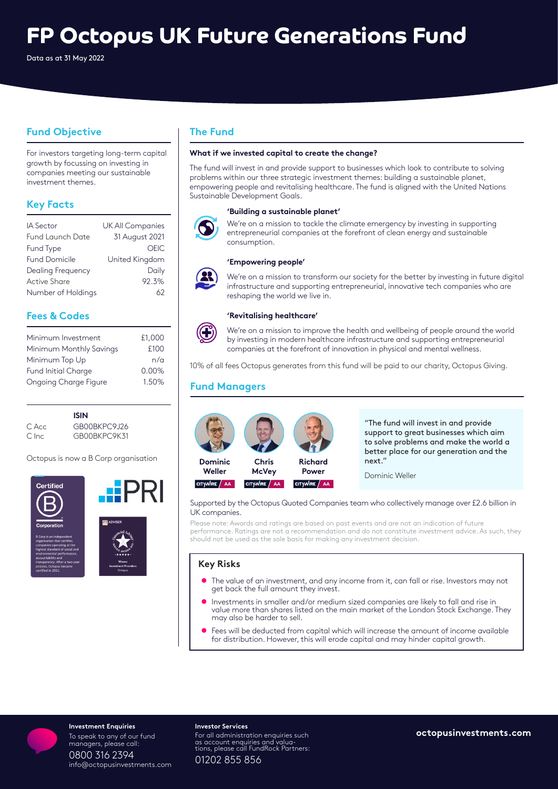# **FP Octopus UK Future Generations Fund**

Data as at 31 May 2022

# **Fund Objective**

For investors targeting long-term capital growth by focussing on investing in companies meeting our sustainable investment themes.

# **Key Facts**

| IA Sector            | UK All Companies |
|----------------------|------------------|
| Fund Launch Date     | 31 August 2021   |
| Fund Type            | OFIC.            |
| <b>Fund Domicile</b> | United Kingdom   |
| Dealing Frequency    | Daily            |
| Active Share         | 92.3%            |
| Number of Holdings   | 62               |

# **Fees & Codes**

| Minimum Investment           | £1,000 |
|------------------------------|--------|
| Minimum Monthly Savings      | £100   |
| Minimum Top Up               | n/a    |
| <b>Fund Initial Charge</b>   | 0.00%  |
| <b>Ongoing Charge Figure</b> | 1.50%  |

|         | <b>ISIN</b>   |
|---------|---------------|
| C. Acc. | GB00BKPC9.126 |
| C Inc.  | GB00BKPC9K31  |

Octopus is now a B Corp organisation



# **The Fund**

### **What if we invested capital to create the change?**

The fund will invest in and provide support to businesses which look to contribute to solving problems within our three strategic investment themes: building a sustainable planet, empowering people and revitalising healthcare. The fund is aligned with the United Nations Sustainable Development Goals.



#### **'Building a sustainable planet'**

We're on a mission to tackle the climate emergency by investing in supporting entrepreneurial companies at the forefront of clean energy and sustainable consumption.

#### **'Empowering people'**



We're on a mission to transform our society for the better by investing in future digital infrastructure and supporting entrepreneurial, innovative tech companies who are reshaping the world we live in.

#### **'Revitalising healthcare'**



We're on a mission to improve the health and wellbeing of people around the world by investing in modern healthcare infrastructure and supporting entrepreneurial companies at the forefront of innovation in physical and mental wellness.

10% of all fees Octopus generates from this fund will be paid to our charity, Octopus Giving.

# **Fund Managers**



"The fund will invest in and provide support to great businesses which aim to solve problems and make the world a better place for our generation and the next."

Dominic Weller

#### Supported by the Octopus Quoted Companies team who collectively manage over £2.6 billion in UK companies.

Please note: Awards and ratings are based on past events and are not an indication of future performance. Ratings are not a recommendation and do not constitute investment advice. As such, they should not be used as the sole basis for making any investment decision.

## **Key Risks**

- **•** The value of an investment, and any income from it, can fall or rise. Investors may not get back the full amount they invest.
- Investments in smaller and/or medium sized companies are likely to fall and rise in value more than shares listed on the main market of the London Stock Exchange. They may also be harder to sell.
- Fees will be deducted from capital which will increase the amount of income available for distribution. However, this will erode capital and may hinder capital growth.



#### **Investment Enquiries**<br> **Investment Enquiries**<br> **In coach to any of our fund on the For all administration enquiries such and octopusinvestments.com** To speak to any of our fund managers, please call: 0800 316 2394 info@octopusinvestments.com

#### **Investor Services**

For all administration enquiries such as account enquiries and valua- tions, please call FundRock Partners: 01202 855 856